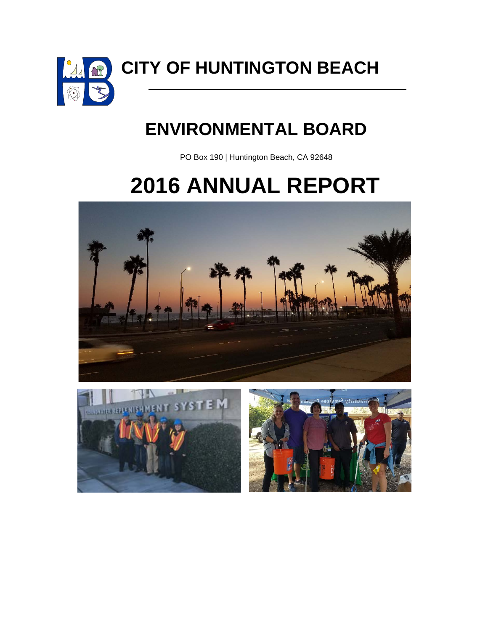

**CITY OF HUNTINGTON BEACH**

# **ENVIRONMENTAL BOARD**

PO Box 190 | Huntington Beach, CA 92648

# **2016 ANNUAL REPORT**





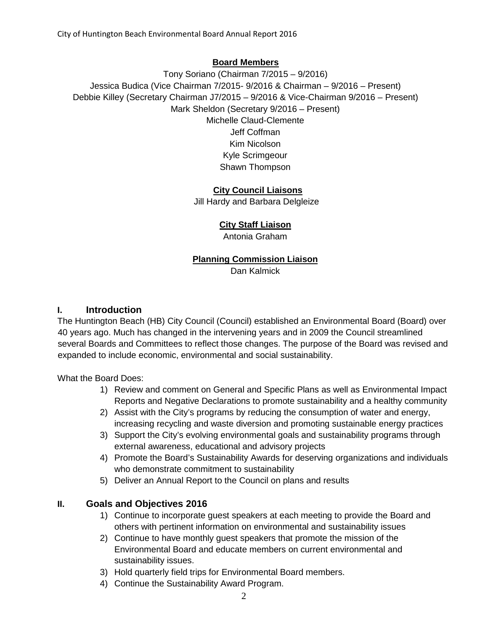#### **Board Members**

Tony Soriano (Chairman 7/2015 – 9/2016) Jessica Budica (Vice Chairman 7/2015- 9/2016 & Chairman – 9/2016 – Present) Debbie Killey (Secretary Chairman J7/2015 – 9/2016 & Vice-Chairman 9/2016 – Present) Mark Sheldon (Secretary 9/2016 – Present) Michelle Claud-Clemente Jeff Coffman Kim Nicolson Kyle Scrimgeour Shawn Thompson

#### **City Council Liaisons**

Jill Hardy and Barbara Delgleize

#### **City Staff Liaison**

Antonia Graham

#### **Planning Commission Liaison**

Dan Kalmick

#### **I. Introduction**

The Huntington Beach (HB) City Council (Council) established an Environmental Board (Board) over 40 years ago. Much has changed in the intervening years and in 2009 the Council streamlined several Boards and Committees to reflect those changes. The purpose of the Board was revised and expanded to include economic, environmental and social sustainability.

What the Board Does:

- 1) Review and comment on General and Specific Plans as well as Environmental Impact Reports and Negative Declarations to promote sustainability and a healthy community
- 2) Assist with the City's programs by reducing the consumption of water and energy, increasing recycling and waste diversion and promoting sustainable energy practices
- 3) Support the City's evolving environmental goals and sustainability programs through external awareness, educational and advisory projects
- 4) Promote the Board's Sustainability Awards for deserving organizations and individuals who demonstrate commitment to sustainability
- 5) Deliver an Annual Report to the Council on plans and results

#### **II. Goals and Objectives 2016**

- 1) Continue to incorporate guest speakers at each meeting to provide the Board and others with pertinent information on environmental and sustainability issues
- 2) Continue to have monthly guest speakers that promote the mission of the Environmental Board and educate members on current environmental and sustainability issues.
- 3) Hold quarterly field trips for Environmental Board members.
- 4) Continue the Sustainability Award Program.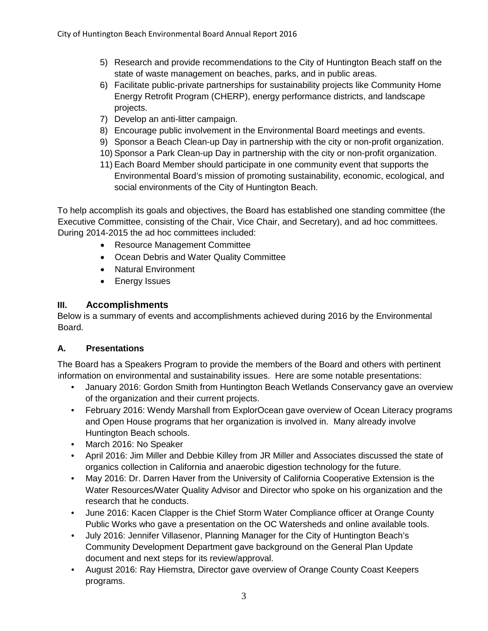- 5) Research and provide recommendations to the City of Huntington Beach staff on the state of waste management on beaches, parks, and in public areas.
- 6) Facilitate public-private partnerships for sustainability projects like Community Home Energy Retrofit Program (CHERP), energy performance districts, and landscape projects.
- 7) Develop an anti-litter campaign.
- 8) Encourage public involvement in the Environmental Board meetings and events.
- 9) Sponsor a Beach Clean-up Day in partnership with the city or non-profit organization.
- 10) Sponsor a Park Clean-up Day in partnership with the city or non-profit organization.
- 11) Each Board Member should participate in one community event that supports the Environmental Board's mission of promoting sustainability, economic, ecological, and social environments of the City of Huntington Beach.

To help accomplish its goals and objectives, the Board has established one standing committee (the Executive Committee, consisting of the Chair, Vice Chair, and Secretary), and ad hoc committees. During 2014-2015 the ad hoc committees included:

- Resource Management Committee
- Ocean Debris and Water Quality Committee
- Natural Environment
- Energy Issues

#### **III. Accomplishments**

Below is a summary of events and accomplishments achieved during 2016 by the Environmental Board.

#### **A. Presentations**

The Board has a Speakers Program to provide the members of the Board and others with pertinent information on environmental and sustainability issues. Here are some notable presentations:

- January 2016: Gordon Smith from Huntington Beach Wetlands Conservancy gave an overview of the organization and their current projects.
- February 2016: Wendy Marshall from ExplorOcean gave overview of Ocean Literacy programs and Open House programs that her organization is involved in. Many already involve Huntington Beach schools.
- March 2016: No Speaker
- April 2016: Jim Miller and Debbie Killey from JR Miller and Associates discussed the state of organics collection in California and anaerobic digestion technology for the future.
- May 2016: Dr. Darren Haver from the University of California Cooperative Extension is the Water Resources/Water Quality Advisor and Director who spoke on his organization and the research that he conducts.
- June 2016: Kacen Clapper is the Chief Storm Water Compliance officer at Orange County Public Works who gave a presentation on the OC Watersheds and online available tools.
- July 2016: Jennifer Villasenor, Planning Manager for the City of Huntington Beach's Community Development Department gave background on the General Plan Update document and next steps for its review/approval.
- August 2016: Ray Hiemstra, Director gave overview of Orange County Coast Keepers programs.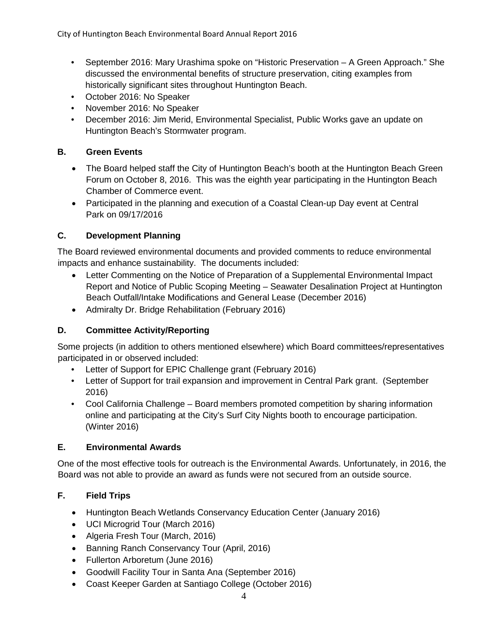- September 2016: Mary Urashima spoke on "Historic Preservation A Green Approach." She discussed the environmental benefits of structure preservation, citing examples from historically significant sites throughout Huntington Beach.
- October 2016: No Speaker
- November 2016: No Speaker
- December 2016: Jim Merid, Environmental Specialist, Public Works gave an update on Huntington Beach's Stormwater program.

#### **B. Green Events**

- The Board helped staff the City of Huntington Beach's booth at the Huntington Beach Green Forum on October 8, 2016. This was the eighth year participating in the Huntington Beach Chamber of Commerce event.
- Participated in the planning and execution of a Coastal Clean-up Day event at Central Park on 09/17/2016

### **C. Development Planning**

The Board reviewed environmental documents and provided comments to reduce environmental impacts and enhance sustainability. The documents included:

- Letter Commenting on the Notice of Preparation of a Supplemental Environmental Impact Report and Notice of Public Scoping Meeting – Seawater Desalination Project at Huntington Beach Outfall/Intake Modifications and General Lease (December 2016)
- Admiralty Dr. Bridge Rehabilitation (February 2016)

# **D. Committee Activity/Reporting**

Some projects (in addition to others mentioned elsewhere) which Board committees/representatives participated in or observed included:

- Letter of Support for EPIC Challenge grant (February 2016)
- Letter of Support for trail expansion and improvement in Central Park grant. (September 2016)
- Cool California Challenge Board members promoted competition by sharing information online and participating at the City's Surf City Nights booth to encourage participation. (Winter 2016)

#### **E. Environmental Awards**

One of the most effective tools for outreach is the Environmental Awards. Unfortunately, in 2016, the Board was not able to provide an award as funds were not secured from an outside source.

# **F. Field Trips**

- Huntington Beach Wetlands Conservancy Education Center (January 2016)
- UCI Microgrid Tour (March 2016)
- Algeria Fresh Tour (March, 2016)
- Banning Ranch Conservancy Tour (April, 2016)
- Fullerton Arboretum (June 2016)
- Goodwill Facility Tour in Santa Ana (September 2016)
- Coast Keeper Garden at Santiago College (October 2016)